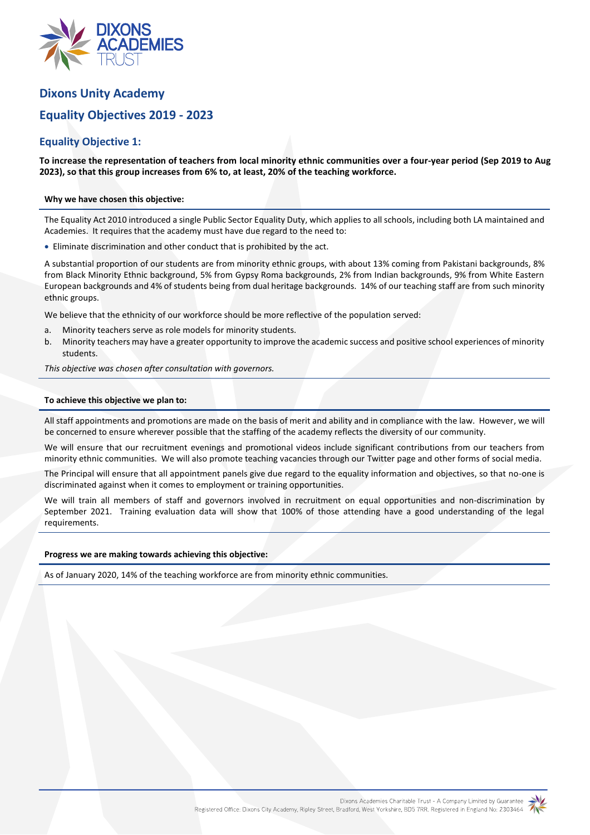

# **Dixons Unity Academy**

# **Equality Objectives 2019 - 2023**

# **Equality Objective 1:**

**To increase the representation of teachers from local minority ethnic communities over a four-year period (Sep 2019 to Aug 2023), so that this group increases from 6% to, at least, 20% of the teaching workforce.**

### **Why we have chosen this objective:**

The Equality Act 2010 introduced a single Public Sector Equality Duty, which applies to all schools, including both LA maintained and Academies. It requires that the academy must have due regard to the need to:

Eliminate discrimination and other conduct that is prohibited by the act.

A substantial proportion of our students are from minority ethnic groups, with about 13% coming from Pakistani backgrounds, 8% from Black Minority Ethnic background, 5% from Gypsy Roma backgrounds, 2% from Indian backgrounds, 9% from White Eastern European backgrounds and 4% of students being from dual heritage backgrounds. 14% of our teaching staff are from such minority ethnic groups.

We believe that the ethnicity of our workforce should be more reflective of the population served:

- a. Minority teachers serve as role models for minority students.
- b. Minority teachers may have a greater opportunity to improve the academic success and positive school experiences of minority students.

*This objective was chosen after consultation with governors.*

## **To achieve this objective we plan to:**

All staff appointments and promotions are made on the basis of merit and ability and in compliance with the law. However, we will be concerned to ensure wherever possible that the staffing of the academy reflects the diversity of our community.

We will ensure that our recruitment evenings and promotional videos include significant contributions from our teachers from minority ethnic communities. We will also promote teaching vacancies through our Twitter page and other forms of social media.

The Principal will ensure that all appointment panels give due regard to the equality information and objectives, so that no-one is discriminated against when it comes to employment or training opportunities.

We will train all members of staff and governors involved in recruitment on equal opportunities and non-discrimination by September 2021. Training evaluation data will show that 100% of those attending have a good understanding of the legal requirements.

#### **Progress we are making towards achieving this objective:**

As of January 2020, 14% of the teaching workforce are from minority ethnic communities.

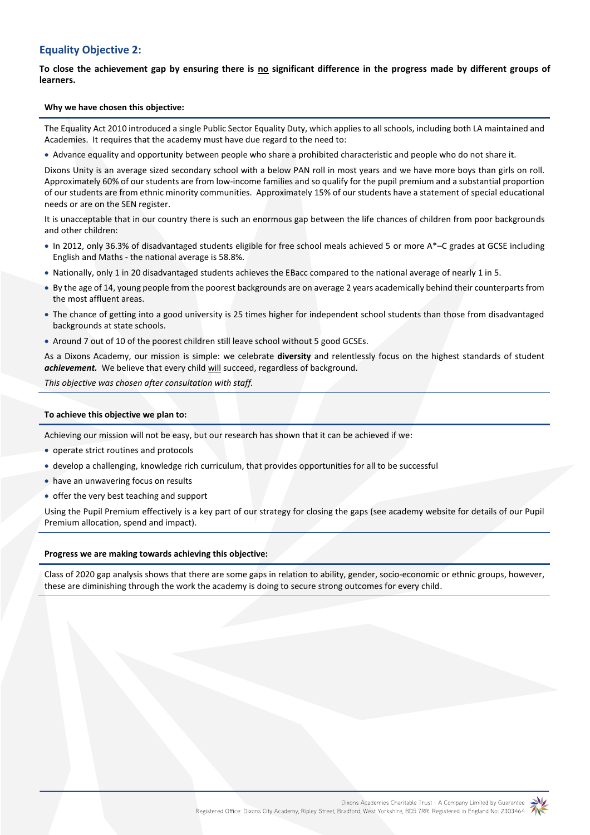# **Equality Objective 2:**

To close the achievement gap by ensuring there is no significant difference in the progress made by different groups of **learners.**

### **Why we have chosen this objective:**

The Equality Act 2010 introduced a single Public Sector Equality Duty, which applies to all schools, including both LA maintained and Academies. It requires that the academy must have due regard to the need to:

Advance equality and opportunity between people who share a prohibited characteristic and people who do not share it.

Dixons Unity is an average sized secondary school with a below PAN roll in most years and we have more boys than girls on roll. Approximately 60% of our students are from low-income families and so qualify for the pupil premium and a substantial proportion of our students are from ethnic minority communities. Approximately 15% of our students have a statement of special educational needs or are on the SEN register.

It is unacceptable that in our country there is such an enormous gap between the life chances of children from poor backgrounds and other children:

- In 2012, only 36.3% of disadvantaged students eligible for free school meals achieved 5 or more A\*–C grades at GCSE including English and Maths - the national average is 58.8%.
- Nationally, only 1 in 20 disadvantaged students achieves the EBacc compared to the national average of nearly 1 in 5.
- By the age of 14, young people from the poorest backgrounds are on average 2 years academically behind their counterparts from the most affluent areas.
- The chance of getting into a good university is 25 times higher for independent school students than those from disadvantaged backgrounds at state schools.
- Around 7 out of 10 of the poorest children still leave school without 5 good GCSEs.

As a Dixons Academy, our mission is simple: we celebrate **diversity** and relentlessly focus on the highest standards of student *achievement.* We believe that every child will succeed, regardless of background.

*This objective was chosen after consultation with staff.*

### **To achieve this objective we plan to:**

Achieving our mission will not be easy, but our research has shown that it can be achieved if we:

- operate strict routines and protocols
- develop a challenging, knowledge rich curriculum, that provides opportunities for all to be successful
- have an unwavering focus on results
- offer the very best teaching and support

Using the Pupil Premium effectively is a key part of our strategy for closing the gaps (see academy website for details of our Pupil Premium allocation, spend and impact).

#### **Progress we are making towards achieving this objective:**

Class of 2020 gap analysis shows that there are some gaps in relation to ability, gender, socio-economic or ethnic groups, however, these are diminishing through the work the academy is doing to secure strong outcomes for every child.